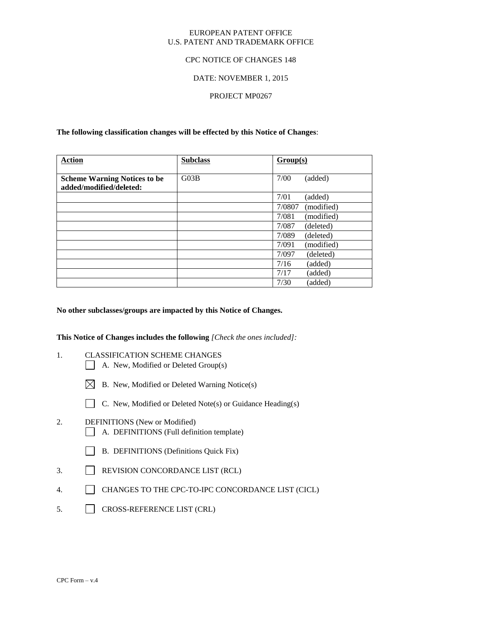#### EUROPEAN PATENT OFFICE U.S. PATENT AND TRADEMARK OFFICE

## CPC NOTICE OF CHANGES 148

## DATE: NOVEMBER 1, 2015

## PROJECT MP0267

**The following classification changes will be effected by this Notice of Changes**:

| <b>Action</b>                                                  | <b>Subclass</b> | Group(s)             |
|----------------------------------------------------------------|-----------------|----------------------|
| <b>Scheme Warning Notices to be</b><br>added/modified/deleted: | G03B            | 7/00<br>(added)      |
|                                                                |                 | 7/01<br>(added)      |
|                                                                |                 | 7/0807<br>(modified) |
|                                                                |                 | 7/081<br>(modified)  |
|                                                                |                 | 7/087<br>(deleted)   |
|                                                                |                 | 7/089<br>(deleted)   |
|                                                                |                 | (modified)<br>7/091  |
|                                                                |                 | 7/097<br>(deleted)   |
|                                                                |                 | 7/16<br>(added)      |
|                                                                |                 | 7/17<br>(added)      |
|                                                                |                 | 7/30<br>(added)      |

#### **No other subclasses/groups are impacted by this Notice of Changes.**

**This Notice of Changes includes the following** *[Check the ones included]:*

- 1. CLASSIFICATION SCHEME CHANGES
	- A. New, Modified or Deleted Group(s)
	- $\boxtimes$  B. New, Modified or Deleted Warning Notice(s)
	- C. New, Modified or Deleted Note(s) or Guidance Heading(s)
- 2. DEFINITIONS (New or Modified) A. DEFINITIONS (Full definition template)
	- B. DEFINITIONS (Definitions Quick Fix)
- 3. REVISION CONCORDANCE LIST (RCL)
- 4. CHANGES TO THE CPC-TO-IPC CONCORDANCE LIST (CICL)
- 5. CROSS-REFERENCE LIST (CRL)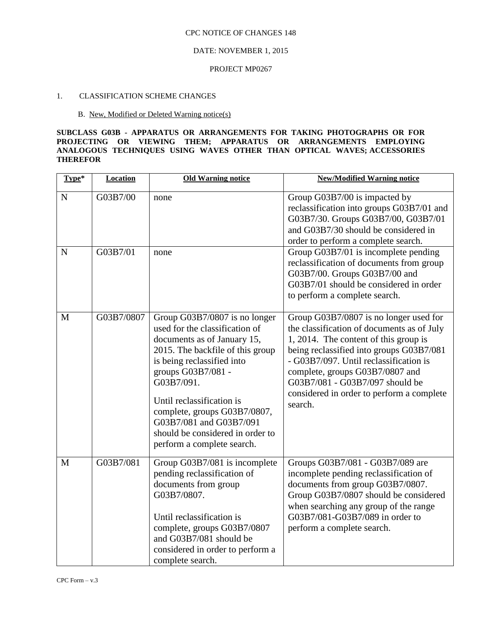#### CPC NOTICE OF CHANGES 148

# DATE: NOVEMBER 1, 2015

#### PROJECT MP0267

# 1. CLASSIFICATION SCHEME CHANGES

#### B. New, Modified or Deleted Warning notice(s)

## **SUBCLASS G03B - APPARATUS OR ARRANGEMENTS FOR TAKING PHOTOGRAPHS OR FOR PROJECTING OR VIEWING THEM; APPARATUS OR ARRANGEMENTS EMPLOYING ANALOGOUS TECHNIQUES USING WAVES OTHER THAN OPTICAL WAVES; ACCESSORIES THEREFOR**

| Type*       | <b>Location</b> | <b>Old Warning notice</b>                                                                                                                                                                                                                                                                                                                                      | <b>New/Modified Warning notice</b>                                                                                                                                                                                                                                                                                                                |
|-------------|-----------------|----------------------------------------------------------------------------------------------------------------------------------------------------------------------------------------------------------------------------------------------------------------------------------------------------------------------------------------------------------------|---------------------------------------------------------------------------------------------------------------------------------------------------------------------------------------------------------------------------------------------------------------------------------------------------------------------------------------------------|
| ${\bf N}$   | G03B7/00        | none                                                                                                                                                                                                                                                                                                                                                           | Group G03B7/00 is impacted by<br>reclassification into groups G03B7/01 and<br>G03B7/30. Groups G03B7/00, G03B7/01<br>and G03B7/30 should be considered in<br>order to perform a complete search.                                                                                                                                                  |
| $\mathbf N$ | G03B7/01        | none                                                                                                                                                                                                                                                                                                                                                           | Group G03B7/01 is incomplete pending<br>reclassification of documents from group<br>G03B7/00. Groups G03B7/00 and<br>G03B7/01 should be considered in order<br>to perform a complete search.                                                                                                                                                      |
| M           | G03B7/0807      | Group G03B7/0807 is no longer<br>used for the classification of<br>documents as of January 15,<br>2015. The backfile of this group<br>is being reclassified into<br>groups G03B7/081 -<br>G03B7/091.<br>Until reclassification is<br>complete, groups G03B7/0807,<br>G03B7/081 and G03B7/091<br>should be considered in order to<br>perform a complete search. | Group G03B7/0807 is no longer used for<br>the classification of documents as of July<br>1, 2014. The content of this group is<br>being reclassified into groups G03B7/081<br>- G03B7/097. Until reclassification is<br>complete, groups G03B7/0807 and<br>G03B7/081 - G03B7/097 should be<br>considered in order to perform a complete<br>search. |
| M           | G03B7/081       | Group G03B7/081 is incomplete<br>pending reclassification of<br>documents from group<br>G03B7/0807.<br>Until reclassification is<br>complete, groups G03B7/0807<br>and G03B7/081 should be<br>considered in order to perform a<br>complete search.                                                                                                             | Groups G03B7/081 - G03B7/089 are<br>incomplete pending reclassification of<br>documents from group G03B7/0807.<br>Group G03B7/0807 should be considered<br>when searching any group of the range<br>G03B7/081-G03B7/089 in order to<br>perform a complete search.                                                                                 |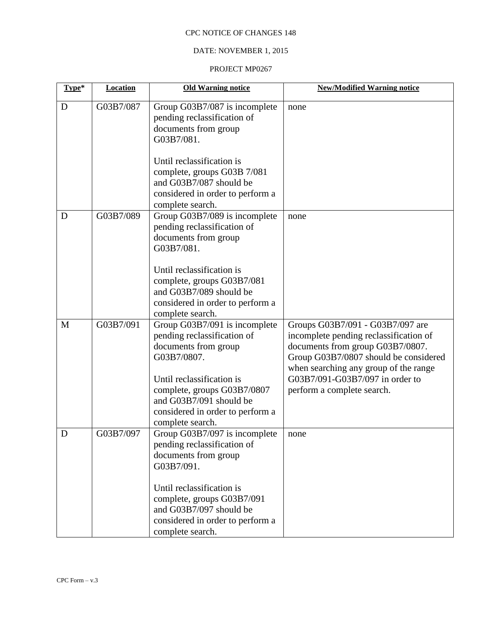# CPC NOTICE OF CHANGES 148

# DATE: NOVEMBER 1, 2015

## PROJECT MP0267

| Type*       | Location  | <b>Old Warning notice</b>                                                                                                                                                                                                                          | <b>New/Modified Warning notice</b>                                                                                                                                                                                                                                |
|-------------|-----------|----------------------------------------------------------------------------------------------------------------------------------------------------------------------------------------------------------------------------------------------------|-------------------------------------------------------------------------------------------------------------------------------------------------------------------------------------------------------------------------------------------------------------------|
| D           | G03B7/087 | Group G03B7/087 is incomplete<br>pending reclassification of<br>documents from group<br>G03B7/081.                                                                                                                                                 | none                                                                                                                                                                                                                                                              |
|             |           | Until reclassification is<br>complete, groups G03B 7/081<br>and G03B7/087 should be<br>considered in order to perform a<br>complete search.                                                                                                        |                                                                                                                                                                                                                                                                   |
| D           | G03B7/089 | Group G03B7/089 is incomplete<br>pending reclassification of<br>documents from group<br>G03B7/081.<br>Until reclassification is<br>complete, groups G03B7/081<br>and G03B7/089 should be<br>considered in order to perform a<br>complete search.   | none                                                                                                                                                                                                                                                              |
| M           | G03B7/091 | Group G03B7/091 is incomplete<br>pending reclassification of<br>documents from group<br>G03B7/0807.<br>Until reclassification is<br>complete, groups G03B7/0807<br>and G03B7/091 should be<br>considered in order to perform a<br>complete search. | Groups G03B7/091 - G03B7/097 are<br>incomplete pending reclassification of<br>documents from group G03B7/0807.<br>Group G03B7/0807 should be considered<br>when searching any group of the range<br>G03B7/091-G03B7/097 in order to<br>perform a complete search. |
| $\mathbf D$ | G03B7/097 | Group G03B7/097 is incomplete<br>pending reclassification of<br>documents from group<br>G03B7/091.<br>Until reclassification is<br>complete, groups G03B7/091<br>and G03B7/097 should be<br>considered in order to perform a<br>complete search.   | none                                                                                                                                                                                                                                                              |